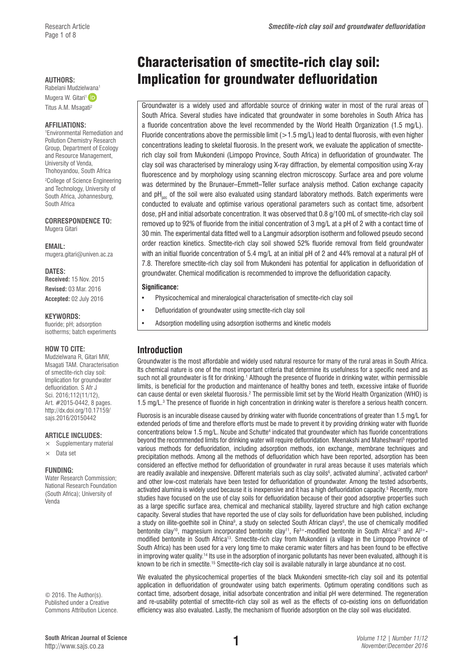Mugera W. Gitari<sup>1</sup> iD Titus A.M. Msagati2

#### **AFFILIATIONS:**

1 Environmental Remediation and Pollution Chemistry Research Group, Department of Ecology and Resource Management, University of Venda, Thohoyandou, South Africa 2 College of Science Engineering and Technology, University of South Africa, Johannesburg, South Africa

**CORRESPONDENCE TO:**  Mugera Gitari

**EMAIL:**  [mugera.gitari@univen.ac.za](mailto:mugera.gitari@univen.ac.za)

**DATES: Received:** 15 Nov. 2015 **Revised:** 03 Mar. 2016 **Accepted:** 02 July 2016

#### **KEYWORDS:**

fluoride: nH; adsorption isotherms; batch experiments

### **HOW TO CITE:**

Mudzielwana R, Gitari MW, Msagati TAM. Characterisation of smectite-rich clay soil: Implication for groundwater defluoridation. S Afr J Sci. 2016;112(11/12), Art. #2015-0442, 8 pages. [http://dx.doi.org/10.17159/](http://dx.doi.org/10.17159/sajs.2016/20150442) [sajs.2016/20150442](http://dx.doi.org/10.17159/sajs.2016/20150442)

#### **ARTICLE INCLUDES:**

- Supplementary material
- $\times$  Data set

#### **FUNDING:**

Water Research Commission; National Research Foundation (South Africa); University of Venda

© 2016. The Author(s). Published under a Creative Commons Attribution Licence.

# Characterisation of smectite-rich clay soil: AUTHORS: **Implication for groundwater defluoridation**<br>Rabelani Mudzielwana<sup>1</sup>

Groundwater is a widely used and affordable source of drinking water in most of the rural areas of South Africa. Several studies have indicated that groundwater in some boreholes in South Africa has a fluoride concentration above the level recommended by the World Health Organization (1.5 mg/L). Fluoride concentrations above the permissible limit  $(>1.5 \text{ mg/L})$  lead to dental fluorosis, with even higher concentrations leading to skeletal fluorosis. In the present work, we evaluate the application of smectiterich clay soil from Mukondeni (Limpopo Province, South Africa) in defluoridation of groundwater. The clay soil was characterised by mineralogy using X-ray diffraction, by elemental composition using X-ray fluorescence and by morphology using scanning electron microscopy. Surface area and pore volume was determined by the Brunauer–Emmett–Teller surface analysis method. Cation exchange capacity and  $pH_{\text{max}}$  of the soil were also evaluated using standard laboratory methods. Batch experiments were conducted to evaluate and optimise various operational parameters such as contact time, adsorbent dose, pH and initial adsorbate concentration. It was observed that 0.8 g/100 mL of smectite-rich clay soil removed up to 92% of fluoride from the initial concentration of 3 mg/L at a pH of 2 with a contact time of 30 min. The experimental data fitted well to a Langmuir adsorption isotherm and followed pseudo second order reaction kinetics. Smectite-rich clay soil showed 52% fluoride removal from field groundwater with an initial fluoride concentration of 5.4 mg/L at an initial pH of 2 and 44% removal at a natural pH of 7.8. Therefore smectite-rich clay soil from Mukondeni has potential for application in defluoridation of groundwater. Chemical modification is recommended to improve the defluoridation capacity.

### **Significance:**

- Physicochemical and mineralogical characterisation of smectite-rich clay soil
- Defluoridation of groundwater using smectite-rich clay soil
- Adsorption modelling using adsorption isotherms and kinetic models

# **Introduction**

Groundwater is the most affordable and widely used natural resource for many of the rural areas in South Africa. Its chemical nature is one of the most important criteria that determine its usefulness for a specific need and as such not all groundwater is fit for drinking.<sup>1</sup> Although the presence of fluoride in drinking water, within permissible limits, is beneficial for the production and maintenance of healthy bones and teeth, excessive intake of fluoride can cause dental or even skeletal fluorosis.<sup>2</sup> The permissible limit set by the World Health Organization (WHO) is 1.5 mg/L.3 The presence of fluoride in high concentration in drinking water is therefore a serious health concern.

Fluorosis is an incurable disease caused by drinking water with fluoride concentrations of greater than 1.5 mg/L for extended periods of time and therefore efforts must be made to prevent it by providing drinking water with fluoride concentrations below 1.5 mg/L. Ncube and Schutte<sup>4</sup> indicated that groundwater which has fluoride concentrations beyond the recommended limits for drinking water will require defluoridation. Meenakshi and Maheshwari<sup>s</sup> reported various methods for defluoridation, including adsorption methods, ion exchange, membrane techniques and precipitation methods. Among all the methods of defluoridation which have been reported, adsorption has been considered an effective method for defluoridation of groundwater in rural areas because it uses materials which are readily available and inexpensive. Different materials such as clay soils<sup>6</sup>, activated alumina<sup>7</sup>, activated carbon<sup>8</sup> and other low-cost materials have been tested for defluoridation of groundwater. Among the tested adsorbents, activated alumina is widely used because it is inexpensive and it has a high defluoridation capacity.<sup>5</sup> Recently, more studies have focused on the use of clay soils for defluoridation because of their good adsorptive properties such as a large specific surface area, chemical and mechanical stability, layered structure and high cation exchange capacity. Several studies that have reported the use of clay soils for defluoridation have been published, including a study on illite-goethite soil in China<sup>9</sup>, a study on selected South African clays<sup>6</sup>, the use of chemically modified bentonite clay<sup>10</sup>, magnesium incorporated bentonite clay<sup>11</sup>, Fe<sup>3+</sup>-modified bentonite in South Africa<sup>12</sup> and Al<sup>3+</sup>modified bentonite in South Africa13. Smectite-rich clay from Mukondeni (a village in the Limpopo Province of South Africa) has been used for a very long time to make ceramic water filters and has been found to be effective in improving water quality.<sup>14</sup> Its use in the adsorption of inorganic pollutants has never been evaluated, although it is known to be rich in smectite.15 Smectite-rich clay soil is available naturally in large abundance at no cost.

We evaluated the physicochemical properties of the black Mukondeni smectite-rich clay soil and its potential application in defluoridation of groundwater using batch experiments. Optimum operating conditions such as contact time, adsorbent dosage, initial adsorbate concentration and initial pH were determined. The regeneration and re-usability potential of smectite-rich clay soil as well as the effects of co-existing ions on defluoridation efficiency was also evaluated. Lastly, the mechanism of fluoride adsorption on the clay soil was elucidated.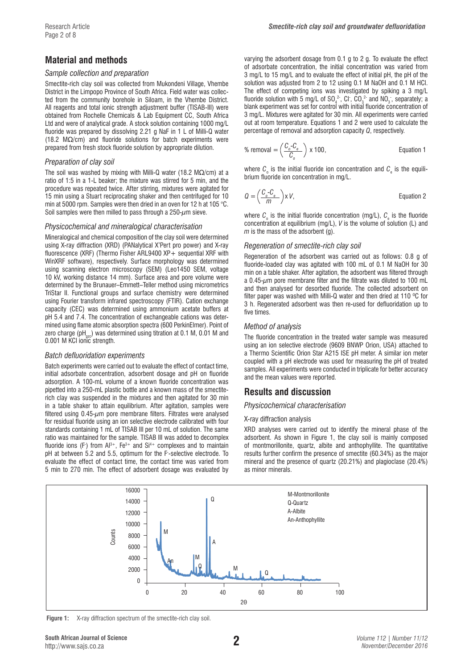# **Material and methods**

### *Sample collection and preparation*

Smectite-rich clay soil was collected from Mukondeni Village, Vhembe District in the Limpopo Province of South Africa. Field water was collected from the community borehole in Siloam, in the Vhembe District. All reagents and total ionic strength adjustment buffer (TISAB-III) were obtained from Rochelle Chemicals & Lab Equipment CC, South Africa Ltd and were of analytical grade. A stock solution containing 1000 mg/L fluoride was prepared by dissolving 2.21 g NaF in 1 L of Milli-Q water (18.2 MΩ/cm) and fluoride solutions for batch experiments were prepared from fresh stock fluoride solution by appropriate dilution.

### *Preparation of clay soil*

The soil was washed by mixing with Milli-Q water (18.2 M $\Omega$ /cm) at a ratio of 1:5 in a 1-L beaker; the mixture was stirred for 5 min, and the procedure was repeated twice. After stirring, mixtures were agitated for 15 min using a Stuart reciprocating shaker and then centrifuged for 10 min at 5000 rpm. Samples were then dried in an oven for 12 h at 105 °C. Soil samples were then milled to pass through a 250- $\mu$ m sieve.

### *Physicochemical and mineralogical characterisation*

Mineralogical and chemical composition of the clay soil were determined using X-ray diffraction (XRD) (PANalytical X'Pert pro power) and X-ray fluorescence (XRF) (Thermo Fisher ARL9400 XP+ sequential XRF with WinXRF software), respectively. Surface morphology was determined using scanning electron microscopy (SEM) (Leo1450 SEM, voltage 10 kV, working distance 14 mm). Surface area and pore volume were determined by the Brunauer–Emmett–Teller method using micrometrics TriStar II. Functional groups and surface chemistry were determined using Fourier transform infrared spectroscopy (FTIR). Cation exchange capacity (CEC) was determined using ammonium acetate buffers at pH 5.4 and 7.4. The concentration of exchangeable cations was determined using flame atomic absorption spectra (600 PerkinElmer). Point of zero charge (pH<sub> $z<sub>z</sub>$ ) was determined using titration at 0.1 M, 0.01 M and</sub> 0.001 M KCI ionic strength.

### *Batch defluoridation experiments*

Batch experiments were carried out to evaluate the effect of contact time, initial adsorbate concentration, adsorbent dosage and pH on fluoride adsorption. A 100-mL volume of a known fluoride concentration was pipetted into a 250-mL plastic bottle and a known mass of the smectiterich clay was suspended in the mixtures and then agitated for 30 min in a table shaker to attain equilibrium. After agitation, samples were filtered using  $0.45 - \mu m$  pore membrane filters. Filtrates were analysed for residual fluoride using an ion selective electrode calibrated with four standards containing 1 mL of TISAB III per 10 mL of solution. The same ratio was maintained for the sample. TISAB III was added to decomplex fluoride ions (F) from  $A^{3+}$ , Fe $^{3+}$  and  $S^{14+}$  complexes and to maintain pH at between 5.2 and 5.5, optimum for the F- -selective electrode. To evaluate the effect of contact time, the contact time was varied from 5 min to 270 min. The effect of adsorbent dosage was evaluated by

varying the adsorbent dosage from 0.1 g to 2 g. To evaluate the effect of adsorbate concentration, the initial concentration was varied from 3 mg/L to 15 mg/L and to evaluate the effect of initial pH, the pH of the solution was adjusted from 2 to 12 using 0.1 M NaOH and 0.1 M HCl. The effect of competing ions was investigated by spiking a 3 mg/L fluoride solution with 5 mg/L of SO<sub>4</sub><sup>2</sup>, Cl<sup>-</sup>, CO<sub>3</sub><sup>2</sup> and NO<sub>3</sub><sup>-</sup>, separately; a blank experiment was set for control with initial fluoride concentration of 3 mg/L. Mixtures were agitated for 30 min. All experiments were carried out at room temperature. Equations 1 and 2 were used to calculate the percentage of removal and adsorption capacity *Q*, respectively.

% removal = 
$$
\left(\frac{C_o - C_e}{C_o}\right) \times 100
$$
, \tEquation 1

where  $c_{\text{\tiny s}}$  is the initial fluoride ion concentration and  $c_{\text{\tiny e}}$  is the equilibrium fluoride ion concentration in mg/L.

$$
Q = \left(\frac{C_o - C_e}{m}\right) \times V,
$$
 Equation 2

where  $C_{\rm o}$  is the initial fluoride concentration (mg/L),  $C_{\rm e}$  is the fluoride concentration at equilibrium (mg/L), *V* is the volume of solution (L) and *m* is the mass of the adsorbent (g).

### *Regeneration of smectite-rich clay soil*

Regeneration of the adsorbent was carried out as follows: 0.8 g of fluoride-loaded clay was agitated with 100 mL of 0.1 M NaOH for 30 min on a table shaker. After agitation, the adsorbent was filtered through a  $0.45$ - $\mu$ m pore membrane filter and the filtrate was diluted to 100 mL and then analysed for desorbed fluoride. The collected adsorbent on filter paper was washed with Milli-Q water and then dried at 110 ºC for 3 h. Regenerated adsorbent was then re-used for defluoridation up to five times.

### *Method of analysis*

The fluoride concentration in the treated water sample was measured using an ion selective electrode (9609 BNWP Orion, USA) attached to a Thermo Scientific Orion Star A215 ISE pH meter. A similar ion meter coupled with a pH electrode was used for measuring the pH of treated samples. All experiments were conducted in triplicate for better accuracy and the mean values were reported.

# **Results and discussion**

### *Physicochemical characterisation*

### X-ray diffraction analysis

XRD analyses were carried out to identify the mineral phase of the adsorbent. As shown in Figure 1, the clay soil is mainly composed of montmorillonite, quartz, albite and anthophyllite. The quantitative results further confirm the presence of smectite (60.34%) as the major mineral and the presence of quartz (20.21%) and plagioclase (20.4%) as minor minerals.



Figure 1: X-ray diffraction spectrum of the smectite-rich clay soil.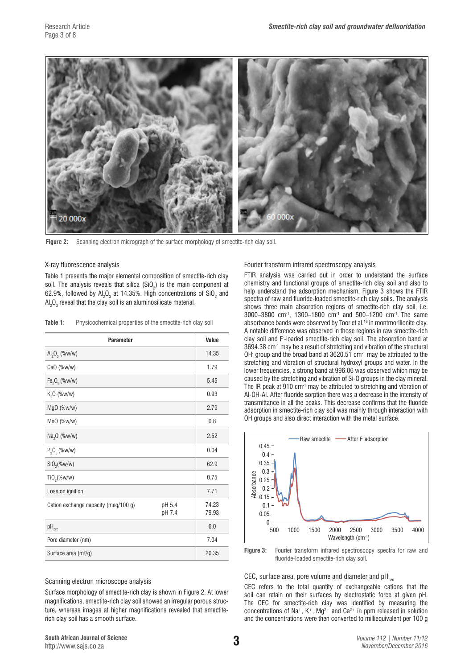

Figure 2: Scanning electron micrograph of the surface morphology of smectite-rich clay soil.

#### X-ray fluorescence analysis

Table 1 presents the major elemental composition of smectite-rich clay soil. The analysis reveals that silica (SiO $_{2}$ ) is the main component at 62.9%, followed by Al $_2$ O $_3$  at 14.35%. High concentrations of SiO $_2$  and Al<sub>2</sub>O<sub>3</sub> reveal that the clay soil is an aluminosilicate material.

Table 1: Physicochemical properties of the smectite-rich clay soil

| <b>Parameter</b>                      | Value          |       |
|---------------------------------------|----------------|-------|
| Al <sub>2</sub> O <sub>3</sub> (%w/w) |                | 14.35 |
| CaO (%w/w)                            |                | 1.79  |
| $Fe_2O_3$ (%w/w)                      |                | 5.45  |
| $K_2O$ (%w/w)                         |                | 0.93  |
| $MgO$ (%w/w)                          |                | 2.79  |
| $MnO$ (%w/w)                          |                | 0.8   |
| Na <sub>2</sub> O (%w/w)              |                | 2.52  |
| $P_2O_5$ (%w/w)                       |                | 0.04  |
| SiO <sub>2</sub> (%w/w)               |                | 62.9  |
| $TiO_2$ (%w/w)                        |                | 0.75  |
| Loss on ignition                      |                | 7.71  |
| Cation exchange capacity (meg/100 g)  | 74.23<br>79.93 |       |
| $pH_{pzc}$                            |                | 6.0   |
| Pore diameter (nm)                    |                | 7.04  |
| Surface area (m <sup>2</sup> /g)      |                | 20.35 |

#### Scanning electron microscope analysis

Surface morphology of smectite-rich clay is shown in Figure 2. At lower magnifications, smectite-rich clay soil showed an irregular porous structure, whereas images at higher magnifications revealed that smectiterich clay soil has a smooth surface.

Fourier transform infrared spectroscopy analysis

FTIR analysis was carried out in order to understand the surface chemistry and functional groups of smectite-rich clay soil and also to help understand the adsorption mechanism. Figure 3 shows the FTIR spectra of raw and fluoride-loaded smectite-rich clay soils. The analysis shows three main absorption regions of smectite-rich clay soil, i.e. 3000–3800 cm-1, 1300–1800 cm-1 and 500–1200 cm-1. The same absorbance bands were observed by Toor et al.<sup>16</sup> in montmorillonite clay. A notable difference was observed in those regions in raw smectite-rich clay soil and F- -loaded smectite-rich clay soil. The absorption band at 3694.38 cm-1 may be a result of stretching and vibration of the structural OH- group and the broad band at 3620.51 cm-1 may be attributed to the stretching and vibration of structural hydroxyl groups and water. In the lower frequencies, a strong band at 996.06 was observed which may be caused by the stretching and vibration of Si-O groups in the clay mineral. The IR peak at 910 cm-1 may be attributed to stretching and vibration of Al-OH-Al. After fluoride sorption there was a decrease in the intensity of transmittance in all the peaks. This decrease confirms that the fluoride adsorption in smectite-rich clay soil was mainly through interaction with OH groups and also direct interaction with the metal surface.



**Figure 3:** Fourier transform infrared spectroscopy spectra for raw and fluoride-loaded smectite-rich clay soil.

#### CEC, surface area, pore volume and diameter and  $pH_{pzc}$

CEC refers to the total quantity of exchangeable cations that the soil can retain on their surfaces by electrostatic force at given pH. The CEC for smectite-rich clay was identified by measuring the concentrations of Na<sup>+</sup>, K<sup>+</sup>, Mg<sup>2+</sup> and Ca<sup>2+</sup> in ppm released in solution and the concentrations were then converted to milliequivalent per 100 g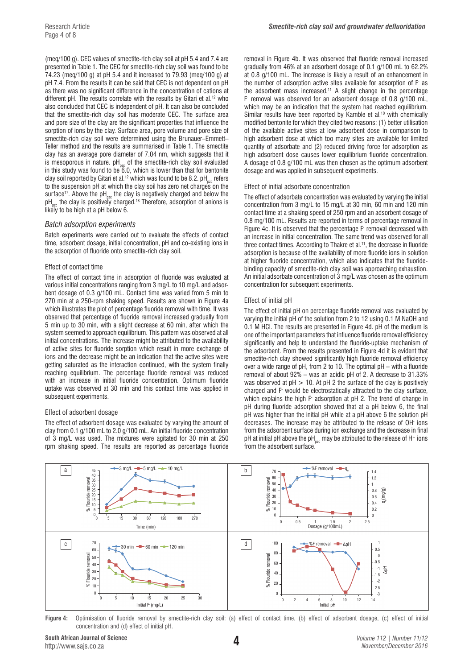(meq/100 g). CEC values of smectite-rich clay soil at pH 5.4 and 7.4 are presented in Table 1. The CEC for smectite-rich clay soil was found to be 74.23 (meq/100 g) at pH 5.4 and it increased to 79.93 (meq/100 g) at pH 7.4. From the results it can be said that CEC is not dependent on pH as there was no significant difference in the concentration of cations at different pH. The results correlate with the results by Gitari et al*.* 12 who also concluded that CEC is independent of pH. It can also be concluded that the smectite-rich clay soil has moderate CEC. The surface area and pore size of the clay are the significant properties that influence the sorption of ions by the clay. Surface area, pore volume and pore size of smectite-rich clay soil were determined using the Brunauer–Emmett– Teller method and the results are summarised in Table 1. The smectite clay has an average pore diameter of 7.04 nm, which suggests that it is mesoporous in nature.  $pH_{\text{max}}$  of the smectite-rich clay soil evaluated in this study was found to be  $\tilde{6}.0$ , which is lower than that for bentonite clay soil reported by Gitari et al.<sup>12</sup> which was found to be 8.2. pH<sub>nze</sub> refers to the suspension pH at which the clay soil has zero net charges on the surface<sup>17</sup>. Above the  $pH_{pzc}$  the clay is negatively charged and below the  $pH_{\text{max}}$  the clay is positively charged.<sup>18</sup> Therefore, adsorption of anions is likely to be high at a pH below 6.

#### *Batch adsorption experiments*

Batch experiments were carried out to evaluate the effects of contact time, adsorbent dosage, initial concentration, pH and co-existing ions in the adsorption of fluoride onto smectite-rich clay soil.

#### Effect of contact time

The effect of contact time in adsorption of fluoride was evaluated at various initial concentrations ranging from 3 mg/L to 10 mg/L and adsorbent dosage of 0.3 g/100 mL. Contact time was varied from 5 min to 270 min at a 250-rpm shaking speed. Results are shown in Figure 4a which illustrates the plot of percentage fluoride removal with time. It was observed that percentage of fluoride removal increased gradually from 5 min up to 30 min, with a slight decrease at 60 min, after which the system seemed to approach equilibrium. This pattern was observed at all initial concentrations. The increase might be attributed to the availability of active sites for fluoride sorption which result in more exchange of ions and the decrease might be an indication that the active sites were getting saturated as the interaction continued, with the system finally reaching equilibrium. The percentage fluoride removal was reduced with an increase in initial fluoride concentration. Optimum fluoride uptake was observed at 30 min and this contact time was applied in subsequent experiments.

#### Effect of adsorbent dosage

The effect of adsorbent dosage was evaluated by varying the amount of clay from 0.1 g/100 mL to 2.0 g/100 mL. An initial fluoride concentration of 3 mg/L was used. The mixtures were agitated for 30 min at 250 rpm shaking speed. The results are reported as percentage fluoride

removal in Figure 4b. It was observed that fluoride removal increased gradually from 46% at an adsorbent dosage of 0.1 g/100 mL to 62.2% at 0.8 g/100 mL. The increase is likely a result of an enhancement in the number of adsorption active sites available for adsorption of F- as the adsorbent mass increased.11 A slight change in the percentage F- removal was observed for an adsorbent dosage of 0.8 g/100 mL, which may be an indication that the system had reached equilibrium. Similar results have been reported by Kamble et al.<sup>10</sup> with chemically modified bentonite for which they cited two reasons: (1) better utilisation of the available active sites at low adsorbent dose in comparison to high adsorbent dose at which too many sites are available for limited quantity of adsorbate and (2) reduced driving force for adsorption as high adsorbent dose causes lower equilibrium fluoride concentration. A dosage of 0.8 g/100 mL was then chosen as the optimum adsorbent dosage and was applied in subsequent experiments.

#### Effect of initial adsorbate concentration

The effect of adsorbate concentration was evaluated by varying the initial concentration from 3 mg/L to 15 mg/L at 30 min, 60 min and 120 min contact time at a shaking speed of 250 rpm and an adsorbent dosage of 0.8 mg/100 mL. Results are reported in terms of percentage removal in Figure 4c. It is observed that the percentage F- removal decreased with an increase in initial concentration. The same trend was observed for all three contact times. According to Thakre et al.<sup>11</sup>, the decrease in fluoride adsorption is because of the availability of more fluoride ions in solution at higher fluoride concentration, which also indicates that the fluoridebinding capacity of smectite-rich clay soil was approaching exhaustion. An initial adsorbate concentration of 3 mg/L was chosen as the optimum concentration for subsequent experiments.

#### Effect of initial pH

The effect of initial pH on percentage fluoride removal was evaluated by varying the initial pH of the solution from 2 to 12 using 0.1 M NaOH and 0.1 M HCl. The results are presented in Figure 4d. pH of the medium is one of the important parameters that influence fluoride removal efficiency significantly and help to understand the fluoride-uptake mechanism of the adsorbent. From the results presented in Figure 4d it is evident that smectite-rich clay showed significantly high fluoride removal efficiency over a wide range of pH, from 2 to 10. The optimal pH – with a fluoride removal of about 92% – was an acidic pH of 2. A decrease to 31.33% was observed at  $pH > 10$ . At  $pH$  2 the surface of the clay is positively charged and F- would be electrostatically attracted to the clay surface, which explains the high F adsorption at pH 2. The trend of change in pH during fluoride adsorption showed that at a pH below 6, the final pH was higher than the initial pH while at a pH above 6 the solution pH decreases. The increase may be attributed to the release of OH- ions from the adsorbent surface during ion exchange and the decrease in final pH at initial pH above the pH<sub>nzc</sub> may be attributed to the release of H<sup>+</sup> ions from the adsorbent surface.



**Figure 4:** Optimisation of fluoride removal by smectite-rich clay soil: (a) effect of contact time, (b) effect of adsorbent dosage, (c) effect of initial concentration and (d) effect of initial pH.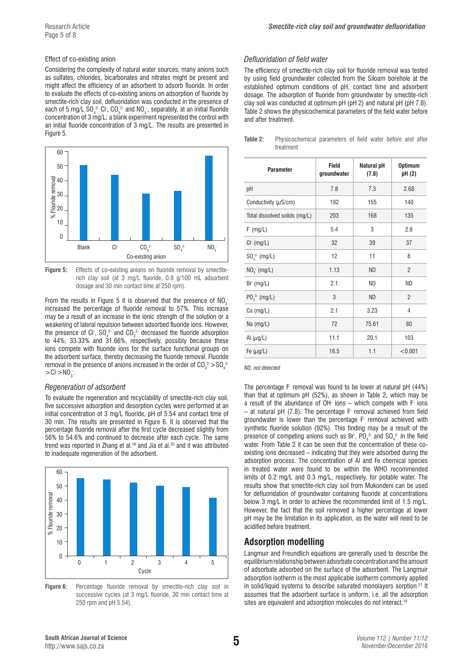#### Effect of co-existing anion

Considering the complexity of natural water sources, many anions such as sulfates, chlorides, bicarbonates and nitrates might be present and might affect the efficiency of an adsorbent to adsorb fluoride. In order to evaluate the effects of co-existing anions on adsorption of fluoride by smectite-rich clay soil, defluoridation was conducted in the presence of each of 5 mg/L SO $_4^2$  Cl , CO $_3^2$  and NO $_3$  , separately, at an initial fluoride concentration of 3 mg/L; a blank experiment represented the control with an initial fluoride concentration of 3 mg/L. The results are presented in Figure 5.



**Figure 5:** Effects of co-existing anions on fluoride removal by smectiterich clay soil (at 3 mg/L fluoride, 0.8 g/100 mL adsorbent dosage and 30 min contact time at 250 rpm).

From the results in Figure 5 it is observed that the presence of  $NO_3$ increased the percentage of fluoride removal to 57%. This increase may be a result of an increase in the ionic strength of the solution or a weakening of lateral repulsion between adsorbed fluoride ions. However, the presence of Cl ,  $\mathsf{SO}_4^2$  and  $\mathsf{CO}_3^2$  decreased the fluoride adsorption to 44%, 33.33% and 31.66%, respectively, possibly because these ions compete with fluoride ions for the surface functional groups on the adsorbent surface, thereby decreasing the fluoride removal. Fluoride removal in the presence of anions increased in the order of CO $_3^{\,2}$   $>\,$  SO $_4^{\,2}$  $>$ Cl $>$ NO<sub>3</sub>.

#### *Regeneration of adsorbent*

To evaluate the regeneration and recyclability of smectite-rich clay soil, five successive adsorption and desorption cycles were performed at an initial concentration of 3 mg/L fluoride, pH of 5.54 and contact time of 30 min. The results are presented in Figure 6. It is observed that the percentage fluoride removal after the first cycle decreased slightly from 56% to 54.6% and continued to decrease after each cycle. The same trend was reported in Zhang et al.19 and Jia et al.20 and it was attributed to inadequate regeneration of the adsorbent.



**Figure 6:** Percentage fluoride removal by smectite-rich clay soil in successive cycles (at 3 mg/L fluoride, 30 min contact time at 250 rpm and pH 5.54).

#### *Defluoridation of field water*

The efficiency of smectite-rich clay soil for fluoride removal was tested by using field groundwater collected from the Siloam borehole at the established optimum conditions of pH, contact time and adsorbent dosage. The adsorption of fluoride from groundwater by smectite-rich clay soil was conducted at optimum pH (pH 2) and natural pH (pH 7.8). Table 2 shows the physicochemical parameters of the field water before and after treatment.

| Table 2: | Physicochemical parameters of field water before and after |  |  |  |  |
|----------|------------------------------------------------------------|--|--|--|--|
|          | treatment                                                  |  |  |  |  |
|          |                                                            |  |  |  |  |

| <b>Parameter</b>                    | Field<br>groundwater | Natural pH<br>(7.8) | <b>Optimum</b><br>pH (2) |
|-------------------------------------|----------------------|---------------------|--------------------------|
| рH                                  | 7.8                  | 7.3                 | 2.68                     |
| Conductivity $(\mu S/cm)$           | 192                  | 155                 | 140                      |
| Total dissolved solids (mg/L)       | 203                  | 168                 | 135                      |
| F (mg/L)                            | 5.4                  | 3                   | 2.8                      |
| $Cl^-(mg/L)$                        | 32                   | 39                  | 37                       |
| $SO_4^2$ (mg/L)                     | 12                   | 11                  | 8                        |
| $NO3$ (mg/L)                        | 1.13                 | <b>ND</b>           | $\overline{2}$           |
| $Br$ (mg/L)                         | 2.1                  | <b>ND</b>           | ND                       |
| PO <sub>4</sub> <sup>3</sup> (mg/L) | 3                    | <b>ND</b>           | $\overline{2}$           |
| $Ca$ (mg/L)                         | 2.1                  | 3.23                | $\overline{4}$           |
| Na $(mg/L)$                         | 72                   | 75.61               | 80                       |
| Al $(\mu g/L)$                      | 11.1                 | 20.1                | 103                      |
| Fe $(\mu g/L)$                      | 16.5                 | 1.1                 | < 0.001                  |

*ND, not detected*

The percentage F- removal was found to be lower at natural pH (44%) than that at optimum pH (52%), as shown in Table 2, which may be a result of the abundance of OH- ions – which compete with F- ions – at natural pH (7.8). The percentage F- removal achieved from field groundwater is lower than the percentage F- removal achieved with synthetic fluoride solution (92%). This finding may be a result of the presence of competing anions such as Br,  $PO_4^3$  and  $SO_4^2$  in the field water. From Table 2 it can be seen that the concentration of these coexisting ions decreased – indicating that they were adsorbed during the adsorption process. The concentration of Al and Fe chemical species in treated water were found to be within the WHO recommended limits of 0.2 mg/L and 0.3 mg/L, respectively, for potable water. The results show that smectite-rich clay soil from Mukondeni can be used for defluoridation of groundwater containing fluoride at concentrations below 3 mg/L in order to achieve the recommended limit of 1.5 mg/L. However, the fact that the soil removed a higher percentage at lower pH may be the limitation in its application, as the water will need to be acidified before treatment.

# **Adsorption modelling**

Langmuir and Freundlich equations are generally used to describe the equilibrium relationship between adsorbate concentration and the amount of adsorbate adsorbed on the surface of the adsorbent. The Langmuir adsorption isotherm is the most applicable isotherm commonly applied in solid/liquid systems to describe saturated monolayers sorption.<sup>21</sup> It assumes that the adsorbent surface is uniform, i.e. all the adsorption sites are equivalent and adsorption molecules do not interact.<sup>19</sup>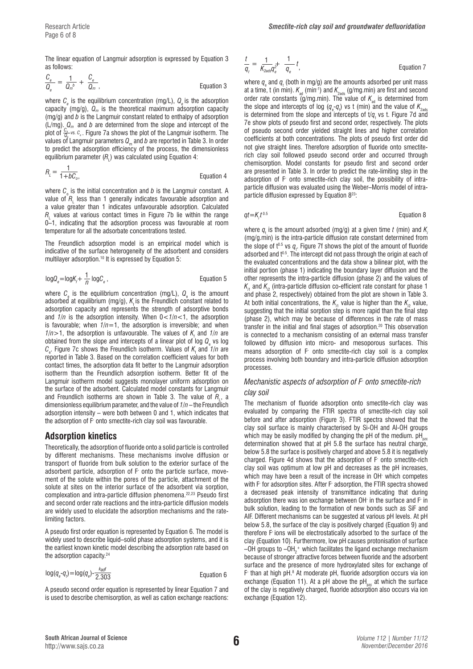The linear equation of Langmuir adsorption is expressed by Equation 3 as follows:

$$
\frac{C_e}{Q_e} = \frac{1}{Q_m{}^b} + \frac{C_e}{Q_m} \tag{Equation 3}
$$

where  $\mathcal{C}_{_{e}}$  is the equilibrium concentration (mg/L),  $\mathcal{Q}_{_{e}}$  is the adsorption capacity (mg/g),  $Q_m$  is the theoretical maximum adsorption capacity (mg/g) and *b* is the Langmuir constant related to enthalpy of adsorption (L/mg). *Qm* and *b* are determined from the slope and intercept of the plot of  $\frac{C_e}{Q_e}$  *vs. c<sub>e</sub>*. Figure 7a shows the plot of the Langmuir isotherm. The values of Langmuir parameters  $Q_m$  and *b* are reported in Table 3. In order to predict the adsorption efficiency of the process, the dimensionless equilibrium parameter ( $R_{\rm L}$ ) was calculated using Equation 4:

$$
R_{L} = \frac{1}{1 + bC_{o}},
$$
 Equation 4

where  $\mathcal{C}_{{}_{\mathrm{o}}}$  is the initial concentration and  $b$  is the Langmuir constant. A value of  $R_{\llcorner}$  less than 1 generally indicates favourable adsorption and a value greater than 1 indicates unfavourable adsorption. Calculated  $R_{\scriptscriptstyle\rm L}$  values at various contact times in Figure 7b lie within the range 0–1, indicating that the adsorption process was favourable at room temperature for all the adsorbate concentrations tested.

The Freundlich adsorption model is an empirical model which is indicative of the surface heterogeneity of the adsorbent and considers multilayer adsorption.<sup>10</sup> It is expressed by Equation 5:

$$
log Q_e = log K_f + \frac{1}{n} log C_e,
$$
 \tEquation 5

where  $C_{\rm e}$  is the equilibrium concentration (mg/L),  $Q_{\rm e}$  is the amount adsorbed at equilibrium (mg/g),  $K<sub>i</sub>$  is the Freundlich constant related to adsorption capacity and represents the strength of adsorptive bonds and *1/n* is the adsorption intensity. When 0<*1/n*<1, the adsorption is favourable; when  $1/n=1$ , the adsorption is irreversible; and when *1/n* > 1, the adsorption is unfavourable. The values of  $K_f$  and *1/n* are obtained from the slope and intercepts of a linear plot of log  $\boldsymbol{Q}_{_{\mathrm{e}}}$  vs log  $\mathcal{C}_{\mathrm{e}}$ . Figure 7c shows the Freundlich isotherm. Values of  $\mathcal{K}_{\mathrm{f}}$  and 1/n are reported in Table 3. Based on the correlation coefficient values for both contact times, the adsorption data fit better to the Langmuir adsorption isotherm than the Freundlich adsorption isotherm. Better fit of the Langmuir isotherm model suggests monolayer uniform adsorption on the surface of the adsorbent. Calculated model constants for Langmuir and Freundlich isotherms are shown in Table 3. The value of  $R_{_{\rm L}},$  a dimensionless equilibrium parameter, and the value of *1/n* – the Freundlich adsorption intensity – were both between 0 and 1, which indicates that the adsorption of F- onto smectite-rich clay soil was favourable.

# **Adsorption kinetics**

Theoretically, the adsorption of fluoride onto a solid particle is controlled by different mechanisms. These mechanisms involve diffusion or transport of fluoride from bulk solution to the exterior surface of the adsorbent particle, adsorption of F- onto the particle surface, movement of the solute within the pores of the particle, attachment of the solute at sites on the interior surface of the adsorbent via sorption, complexation and intra-particle diffusion phenomena.22,23 Pseudo first and second order rate reactions and the intra-particle diffusion models are widely used to elucidate the adsorption mechanisms and the ratelimiting factors.

A pseudo first order equation is represented by Equation 6. The model is widely used to describe liquid–solid phase adsorption systems, and it is the earliest known kinetic model describing the adsorption rate based on the adsorption capacity.<sup>24</sup>

$$
log(q_e - q_i) = log(q_e) - \frac{k_{\text{ad}}t}{2.303}
$$
 Equation 6

A pseudo second order equation is represented by linear Equation 7 and is used to describe chemisorption, as well as cation exchange reactions:

$$
\frac{t}{q_t} = \frac{1}{K_{2a0s}q_e^{2+}} \frac{1}{q_e} t,
$$
 *Equation 7*

where  $q_{\text{e}}$  and  $q_{\text{t}}$  (both in mg/g) are the amounts adsorbed per unit mass at a time, t (in min).  $K_{\text{ad}}$  (min<sup>-1</sup>) and  $K_{\text{2ads}}$  (g/mg.min) are first and second order rate constants  $\tilde{q}$ /mg.min). The value of  $K_{ad}$  is determined from the slope and intercepts of log  $(q_{\text{\tiny e}}\text{-}q_{\text{\tiny t}})$  vs t (min) and the value of  $\mathcal{K}_{\text{\tiny 2ads}}$ is determined from the slope and intercepts of  $t/q$  vs t. Figure 7d and 7e show plots of pseudo first and second order, respectively. The plots of pseudo second order yielded straight lines and higher correlation coefficients at both concentrations. The plots of pseudo first order did not give straight lines. Therefore adsorption of fluoride onto smectiterich clay soil followed pseudo second order and occurred through chemisorption. Model constants for pseudo first and second order are presented in Table 3. In order to predict the rate-limiting step in the adsorption of F- onto smectite-rich clay soil, the possibility of intraparticle diffusion was evaluated using the Weber–Morris model of intraparticle diffusion expressed by Equation 823:

$$
qt = Kit0.5
$$
 Equation 8

where  $q_t$  is the amount adsorbed (mg/g) at a given time  $t$  (min) and  $K_i$ (mg/g.min) is the intra-particle diffusion rate constant determined from the slope of t<sup>o.5</sup> vs  $q_t$ . Figure 7f shows the plot of the amount of fluoride adsorbed and  $t<sup>0.5</sup>$ . The intercept did not pass through the origin at each of the evaluated concentrations and the data show a bilinear plot, with the initial portion (phase 1) indicating the boundary layer diffusion and the other represents the intra-particle diffusion (phase 2) and the values of  $K_{\scriptscriptstyle\!\! N_{\scriptscriptstyle\!\! N}}$  and  $K_{\scriptscriptstyle\!\! N_{\scriptscriptstyle\!\! Z}}$  (intra-particle diffusion co-efficient rate constant for phase 1 and phase 2, respectively) obtained from the plot are shown in Table 3. At both initial concentrations, the  $\mathcal{K}_{\scriptscriptstyle\mathcal{H}}$  value is higher than the  $\mathcal{K}_{\scriptscriptstyle\mathcal{P}}$  value, suggesting that the initial sorption step is more rapid than the final step (phase 2), which may be because of differences in the rate of mass transfer in the initial and final stages of adsorption.20 This observation is connected to a mechanism consisting of an external mass transfer followed by diffusion into micro- and mesoporous surfaces. This means adsorption of F- onto smectite-rich clay soil is a complex process involving both boundary and intra-particle diffusion adsorption processes.

# *Mechanistic aspects of adsorption of F- onto smectite-rich clay soil*

The mechanism of fluoride adsorption onto smectite-rich clay was evaluated by comparing the FTIR spectra of smectite-rich clay soil before and after adsorption (Figure 3). FTIR spectra showed that the clay soil surface is mainly characterised by Si-OH and Al-OH groups which may be easily modified by changing the pH of the medium.  $pH_{\text{acc}}$ determination showed that at pH 5.8 the surface has neutral charge, below 5.8 the surface is positively charged and above 5.8 it is negatively charged. Figure 4d shows that the adsorption of F- onto smectite-rich clay soil was optimum at low pH and decreases as the pH increases, which may have been a result of the increase in OH- which competes with F- for adsorption sites. After F- adsorption, the FTIR spectra showed a decreased peak intensity of transmittance indicating that during adsorption there was ion exchange between OH- in the surface and F- in bulk solution, leading to the formation of new bonds such as SiF and AlF. Different mechanisms can be suggested at various pH levels. At pH below 5.8, the surface of the clay is positively charged (Equation 9) and therefore F- ions will be electrostatically adsorbed to the surface of the clay (Equation 10). Furthermore, low pH causes protonisation of surface –OH groups to –OH $_2^{\mathrm{+}}$  which facilitates the ligand exchange mechanism because of stronger attractive forces between fluoride and the adsorbent surface and the presence of more hydroxylated sites for exchange of F than at high pH.<sup>8</sup> At moderate pH, fluoride adsorption occurs via ion exchange (Equation 11). At a pH above the  $pH_{\text{max}}$  at which the surface of the clay is negatively charged, fluoride adsorption also occurs via ion exchange (Equation 12).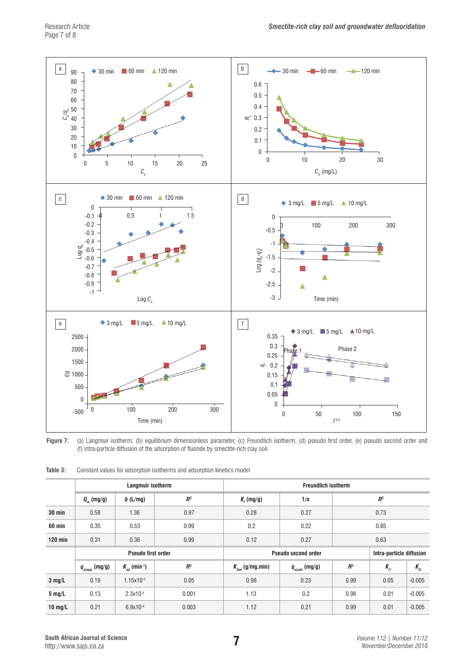

**Figure 7:** (a) Langmuir isotherm, (b) equilibrium dimensionless parameter, (c) Freundlich isotherm, (d) pseudo first order, (e) pseudo second order and (f) intra-particle diffusion of the adsorption of fluoride by smectite-rich clay soil.

|                  | Langmuir isotherm         |                                     |                            |                                          | <b>Freundlich isotherm</b>          |                          |                |          |  |  |
|------------------|---------------------------|-------------------------------------|----------------------------|------------------------------------------|-------------------------------------|--------------------------|----------------|----------|--|--|
|                  | $Q_{m}$ (mg/g)            | b(L/mg)                             | R <sup>2</sup>             | $Kf$ (mg/g)                              | 1/n                                 |                          | R <sup>2</sup> |          |  |  |
| $30$ min         | 0.58                      | 1.36                                | 0.97                       | 0.28                                     | 0.27                                | 0.73                     |                |          |  |  |
| 60 min           | 0.35                      | 0.53                                | 0.99                       | 0.2                                      | 0.22                                | 0.85                     |                |          |  |  |
| $120$ min        | 0.31                      | 0.36                                | 0.99                       | 0.12                                     | 0.27                                | 0.63                     |                |          |  |  |
|                  | <b>Pseudo first order</b> |                                     | <b>Pseudo second order</b> |                                          |                                     | Intra-particle diffusion |                |          |  |  |
|                  | $q_{_{e(exp)}}$ (mg/g)    | $K_{\alpha d}$ (min <sup>-1</sup> ) | R <sup>2</sup>             | $K_{\scriptscriptstyle{2ad}}$ (g/mg.min) | $q_{_{e (cal)}} \, (\mathrm{mg/g})$ | $R^2$                    | $K_{i1}$       | $K_{i2}$ |  |  |
| $3$ mg/L         | 0.19                      | $1.15x10^{-3}$                      | 0.05                       | 0.98                                     | 0.23                                | 0.99                     | 0.05           | $-0.005$ |  |  |
| $5 \text{ mg/L}$ | 0.13                      | $2.3x10^{-4}$                       | 0.001                      | 1.13                                     | 0.2                                 | 0.98                     | 0.01           | $-0.005$ |  |  |
| 10 $mg/L$        | 0.21                      | $6.9x10^{-4}$                       | 0.003                      | 1.12                                     | 0.21                                | 0.99                     | 0.01           | $-0.005$ |  |  |

**Table 3:** Constant values for adsorption isotherms and adsorption kinetics model